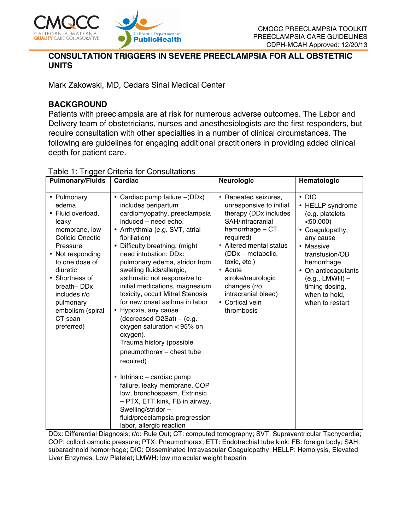

### **CONSULTATION TRIGGERS IN SEVERE PREECLAMPSIA FOR ALL OBSTETRIC UNITS**

Mark Zakowski, MD, Cedars Sinai Medical Center

# **BACKGROUND**

Patients with preeclampsia are at risk for numerous adverse outcomes. The Labor and Delivery team of obstetricians, nurses and anesthesiologists are the first responders, but require consultation with other specialties in a number of clinical circumstances. The following are guidelines for engaging additional practitioners in providing added clinical depth for patient care.

| <b>Pulmonary/Fluids</b>                                                                                                                                                                                                                                               | Cardiac                                                                                                                                                                                                                                                                                                                                                                                                                                                                                                                                                                                                                                                                                                                                                                  | <b>Neurologic</b>                                                                                                                                                                                                                                                                                    | Hematologic                                                                                                                                                                                                                                     |
|-----------------------------------------------------------------------------------------------------------------------------------------------------------------------------------------------------------------------------------------------------------------------|--------------------------------------------------------------------------------------------------------------------------------------------------------------------------------------------------------------------------------------------------------------------------------------------------------------------------------------------------------------------------------------------------------------------------------------------------------------------------------------------------------------------------------------------------------------------------------------------------------------------------------------------------------------------------------------------------------------------------------------------------------------------------|------------------------------------------------------------------------------------------------------------------------------------------------------------------------------------------------------------------------------------------------------------------------------------------------------|-------------------------------------------------------------------------------------------------------------------------------------------------------------------------------------------------------------------------------------------------|
| • Pulmonary<br>edema<br>• Fluid overload,<br>leaky<br>membrane, low<br><b>Colloid Oncotic</b><br>Pressure<br>• Not responding<br>to one dose of<br>diuretic<br>• Shortness of<br>breath-DDx<br>includes r/o<br>pulmonary<br>embolism (spiral<br>CT scan<br>preferred) | • Cardiac pump failure - (DDx)<br>includes peripartum<br>cardiomyopathy, preeclampsia<br>induced - need echo.<br>• Arrhythmia (e.g. SVT, atrial<br>fibrillation)<br>Difficulty breathing, (might<br>need intubation: DDx:<br>pulmonary edema, stridor from<br>swelling fluids/allergic,<br>asthmatic not responsive to<br>initial medications, magnesium<br>toxicity, occult Mitral Stenosis<br>for new onset asthma in labor<br>• Hypoxia, any cause<br>(decreased $O2Sat$ ) – (e.g.<br>oxygen saturation $< 95\%$ on<br>oxygen).<br>Trauma history (possible<br>pneumothorax - chest tube<br>required)<br>Intrinsic – cardiac pump<br>$\bullet$<br>failure, leaky membrane, COP<br>low, bronchospasm, Extrinsic<br>- PTX, ETT kink, FB in airway,<br>Swelling/stridor- | • Repeated seizures,<br>unresponsive to initial<br>therapy (DDx includes<br>SAH/intracranial<br>hemorrhage - CT<br>required)<br>• Altered mental status<br>(DDx - metabolic,<br>toxic, etc.)<br>• Acute<br>stroke/neurologic<br>changes (r/o<br>intracranial bleed)<br>• Cortical vein<br>thrombosis | $\cdot$ DIC<br>• HELLP syndrome<br>(e.g. platelets<br>$<$ 50,000)<br>• Coagulopathy,<br>any cause<br>• Massive<br>transfusion/OB<br>hemorrhage<br>• On anticoagulants<br>$(e.g., LMWH)$ -<br>timing dosing,<br>when to hold,<br>when to restart |
|                                                                                                                                                                                                                                                                       | fluid/preeclampsia progression<br>labor, allergic reaction                                                                                                                                                                                                                                                                                                                                                                                                                                                                                                                                                                                                                                                                                                               |                                                                                                                                                                                                                                                                                                      |                                                                                                                                                                                                                                                 |

#### Table 1: Trigger Criteria for Consultations

DDx: Differential Diagnosis; r/o: Rule Out; CT: computed tomography; SVT: Supraventricular Tachycardia; COP: colloid osmotic pressure; PTX: Pneumothorax; ETT: Endotrachial tube kink; FB: foreign body; SAH: subarachnoid hemorrhage; DIC: Disseminated Intravascular Coagulopathy; HELLP: Hemolysis, Elevated Liver Enzymes, Low Platelet; LMWH: low molecular weight heparin